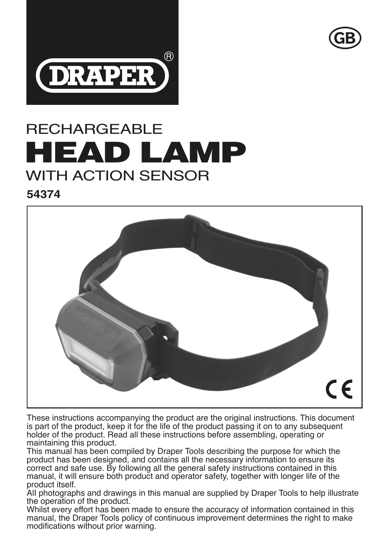



# RECHARGEABLE HEAD LAMP WITH ACTION SENSOR

**54374**



These instructions accompanying the product are the original instructions. This document is part of the product, keep it for the life of the product passing it on to any subsequent holder of the product. Read all these instructions before assembling, operating or maintaining this product.

This manual has been compiled by Draper Tools describing the purpose for which the product has been designed, and contains all the necessary information to ensure its correct and safe use. By following all the general safety instructions contained in this manual, it will ensure both product and operator safety, together with longer life of the product itself.

AlI photographs and drawings in this manual are supplied by Draper Tools to help illustrate the operation of the product.

Whilst every effort has been made to ensure the accuracy of information contained in this manual, the Draper Tools policy of continuous improvement determines the right to make modifications without prior warning.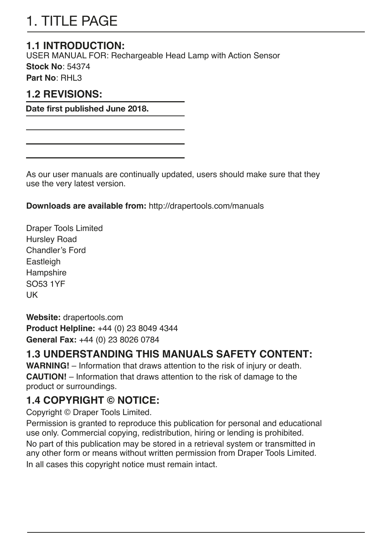# 1. TITLE PAGE

#### **1.1 INTRODUCTION:**

USER MANUAL FOR: Rechargeable Head Lamp with Action Sensor

**Stock No**: 54374

**Part No**: RHL3

#### **1.2 REVISIONS:**

**Date first published June 2018.**

As our user manuals are continually updated, users should make sure that they use the very latest version.

**Downloads are available from:** http://drapertools.com/manuals

Draper Tools Limited Hursley Road Chandler's Ford Eastleigh Hampshire SO53 1YF UK

**Website:** drapertools.com **Product Helpline:** +44 (0) 23 8049 4344 **General Fax:** +44 (0) 23 8026 0784

#### **1.3 UNDERSTANDING THIS MANUALS SAFETY CONTENT:**

**WARNING!** – Information that draws attention to the risk of injury or death. **CAUTION!** – Information that draws attention to the risk of damage to the product or surroundings.

### **1.4 COPYRIGHT © NOTICE:**

Copyright © Draper Tools Limited.

Permission is granted to reproduce this publication for personal and educational use only. Commercial copying, redistribution, hiring or lending is prohibited. No part of this publication may be stored in a retrieval system or transmitted in any other form or means without written permission from Draper Tools Limited.

In all cases this copyright notice must remain intact.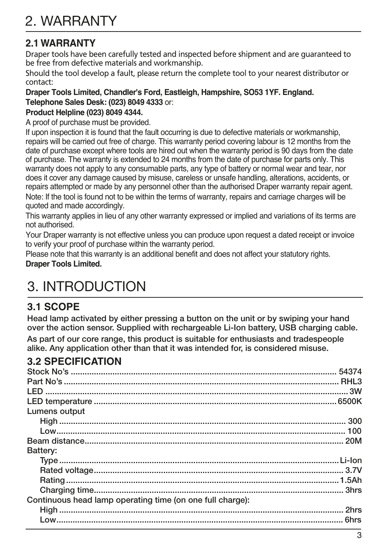#### **2.1 WARRANTY**

Draper tools have been carefully tested and inspected before shipment and are guaranteed to be free from defective materials and workmanship.

Should the tool develop a fault, please return the complete tool to your nearest distributor or contact:

#### **Draper Tools Limited, Chandler's Ford, Eastleigh, Hampshire, SO53 1YF. England. Telephone Sales Desk: (023) 8049 4333** or:

#### **Product Helpline (023) 8049 4344.**

A proof of purchase must be provided.

If upon inspection it is found that the fault occurring is due to defective materials or workmanship, repairs will be carried out free of charge. This warranty period covering labour is 12 months from the date of purchase except where tools are hired out when the warranty period is 90 days from the date of purchase. The warranty is extended to 24 months from the date of purchase for parts only. This warranty does not apply to any consumable parts, any type of battery or normal wear and tear, nor does it cover any damage caused by misuse, careless or unsafe handling, alterations, accidents, or repairs attempted or made by any personnel other than the authorised Draper warranty repair agent.

Note: If the tool is found not to be within the terms of warranty, repairs and carriage charges will be quoted and made accordingly.

This warranty applies in lieu of any other warranty expressed or implied and variations of its terms are not authorised.

Your Draper warranty is not effective unless you can produce upon request a dated receipt or invoice to verify your proof of purchase within the warranty period.

Please note that this warranty is an additional benefit and does not affect your statutory rights. **Draper Tools Limited.**

# 3. INTRODUCTION

#### **3.1 SCOPE**

Head lamp activated by either pressing a button on the unit or by swiping your hand over the action sensor. Supplied with rechargeable Li-Ion battery, USB charging cable. As part of our core range, this product is suitable for enthusiasts and tradespeople

alike. Any application other than that it was intended for, is considered misuse.

#### **3.2 SPECIFICATION**

| Lumens output                                             |  |
|-----------------------------------------------------------|--|
|                                                           |  |
|                                                           |  |
|                                                           |  |
| Battery:                                                  |  |
|                                                           |  |
|                                                           |  |
|                                                           |  |
|                                                           |  |
| Continuous head lamp operating time (on one full charge): |  |
|                                                           |  |
|                                                           |  |
|                                                           |  |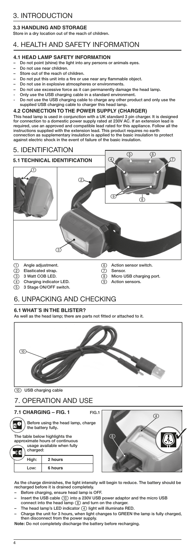### **3.3 HANDLING AND STORAGE**

Store in a dry location out of the reach of children.

# 4. HEALTH AND SAFETY INFORMATION

## **4.1 HEAD LAMP SAFETY INFORMATION**

- Do not point (shine) the light into any persons or animals eyes.
- Do not use near children.
- Store out of the reach of children.
- Do not put this unit into a fire or use near any flammable object. – Do not use in explosive atmospheres or environments.
- Do not use excessive force as it can permanently damage the head lamp.
- Only use the USB charging cable in a standard environment.
- Do not use the USB charging cable to charge any other product and only use the supplied USB charging cable to charger this head lamp.

# **4.2 CONNECTION TO THE POWER SUPPLY (CHARGER)**

This head lamp is used in conjunction with a UK standard 3 pin charger. It is designed for connection to a domestic power supply rated at 230V AC. If an extension lead is required, use an approved and compatible lead rated for this appliance. Follow all the instructions supplied with the extension lead. This product requires no earth connection as supplementary insulation is applied to the basic insulation to protect against electric shock in the event of failure of the basic insulation.

## 5. IDENTIFICATION



- (1) Angle adjustment.
- 
- 2 Elasticated strap.<br>3 3 Watt COB LED.
- 3 Watt COB LED.<br>4 Charging indicate (4) Charging indicator LED.<br>
(5) 3 Stage ON/OFF switch
- Stage ON/OFF switch.
- (6) Action sensor switch.
- (7) Sensor<br>(8) Micro
- Micro USB charging port.
- (9) Action sensors.

# 6. UNPACKING AND CHECKING

## **6.1 WHAT´S IN THE BLISTER?**

As well as the head lamp; there are parts not fitted or attached to it.



(10) USB charging cable

### 7. OPERATION AND USE

**7.1 CHARGING – FIG. 1**

The table below highlights the approximate hours of continuous usage available when fully charged: **Note 3** Before using the head lamp, charge the battery fully.

| High: | 2 hours |
|-------|---------|
|       | 6 hours |



As the charge diminishes, the light intensity will begin to reduce. The battery should be recharged before it is drained completely.

- Before charging, ensure head lamp is OFF.
- Insert the USB cable (10) into a 230V USB power adaptor and the micro USB connect into the head lamp (8) and turn on the charger.
- The head lamp's LED indicator (4) light will illuminate RED.
- Charge the unit for 3 hours, when light changes to GREEN the lamp is fully charged, then disconnect from the power supply.
- **Note:** Do not completely discharge the battery before recharging.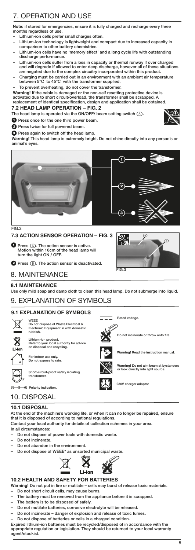# 7. OPERATION AND USE

**Note:** if stored for emergencies, ensure it is fully charged and recharge every three months regardless of use.

- Lithium-ion cells prefer small charges oft
- Lithium-ion technology is lightweight and compact due to increased capacity in comparison to other battery chemistries.
- Lithium-ion cells have no 'memory effect' and a long cycle life with outstanding discharge performance.<br>Lithium-ion cells suffer f
- Lithium-ion cells suffer from a loss in capacity or thermal runway if over charged and will degrade if allowed to enter deep discharge, however all of these situations are negated due to the complex circuitry incorporated within this product.
- Charging must be carried out in an environment with an ambient air temperature between 5°C to 45°C with the transformer supplied.
- To prevent overheating, do not cover the transformer.

Warning! If the cable is damaged or the non-self resetting protective device is<br>activated due to short circuit/overload, the transformer shall be scrapped. A<br>replacement of identical specification, design and application s

#### **7.2 HEAD LAMP OPERATION – FIG. 2**

The head lamp is operated via the ON/OFF/ beam setting switch (5).

**D** Press once for the one third power beam.

**2** Press twice for full powered beam.

**O** Press again to switch off the head lamp.

Warning! This head lamp is extremely bright. Do not shine directly into any person's or animal's eyes.



FIG.2

### **7.3 ACTION SENSOR OPERATION – FIG. 3**

Press (6). The action sensor is active. Motion within 10cm of the head lamp will 1 turn the light ON / OFF.

**Press 6.** The action sensor is deactivated.



 $FIR.3$ 

Rated voltage.

8. MAINTENANCE

#### **8.1 MAINTENANCE**

Use only mild soap and damp cloth to clean this head lamp. Do not submerge into liquid.

### 9. EXPLANATION OF SYMBOLS

### **9.1 EXPLANATION OF SYMBOLS**



Lithium-ion product. Refer to your local authority for advice on disposal and recycling. WEEE of Wa Electronic Equipment in with domestic rubbish.



For indoor use only. Do not expose to rain.

dit-proof sa transformer.

Polarity indication.

# 10. DISPOSAL

### **10.1 DISPOSAL**

At the end of the machine's working life, or when it can no longer be repaired, ensure that it is disposed of according to national regulations.

Contact your local authority for details of collection schemes in your area.

In all circumstances:

- Do not dispose of power tools with domestic waste.
- Do not incinerate.
- Do not abandon in the environment.
- Do not dispose of WEEE\* as unsorted municipal waste.



### **10.2 HEALTH AND SAFETY FOR BATTERIES**

**Warning!** Do not put in fire or mutilate – cells may burst of release toxic materials.

- Do not short circuit cells, may cause burns.
- The battery must be removed from the appliance before it is scrapped.
- The battery is to be disposed of safely.
- Do not mutilate batteries, corrosive electrolyte will be rele
- Do not incinerate danger of explosion and release of toxic fumes.
- Do not dispose of batteries or cells in a charged condition.

Expired lithium-ion batteries must be recycled/disposed of in accordance with the appropriate regulation or legislation. They should be returned to your local warranty agent/stockist.



**Warning!** Do not aim beam at bystanders or look directly into light source.

Do not incinerate or throw onto fire.



230V charger adaptor